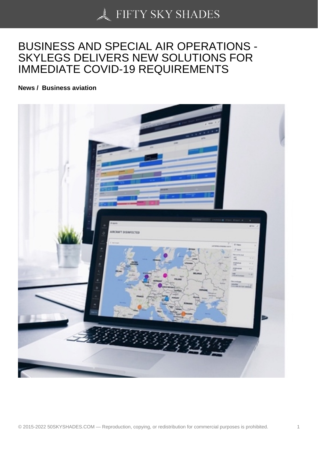## [BUSINESS AND SPEC](https://50skyshades.com)IAL AIR OPERATIONS - SKYLEGS DELIVERS NEW SOLUTIONS FOR IMMEDIATE COVID-19 REQUIREMENTS

News / Business aviation